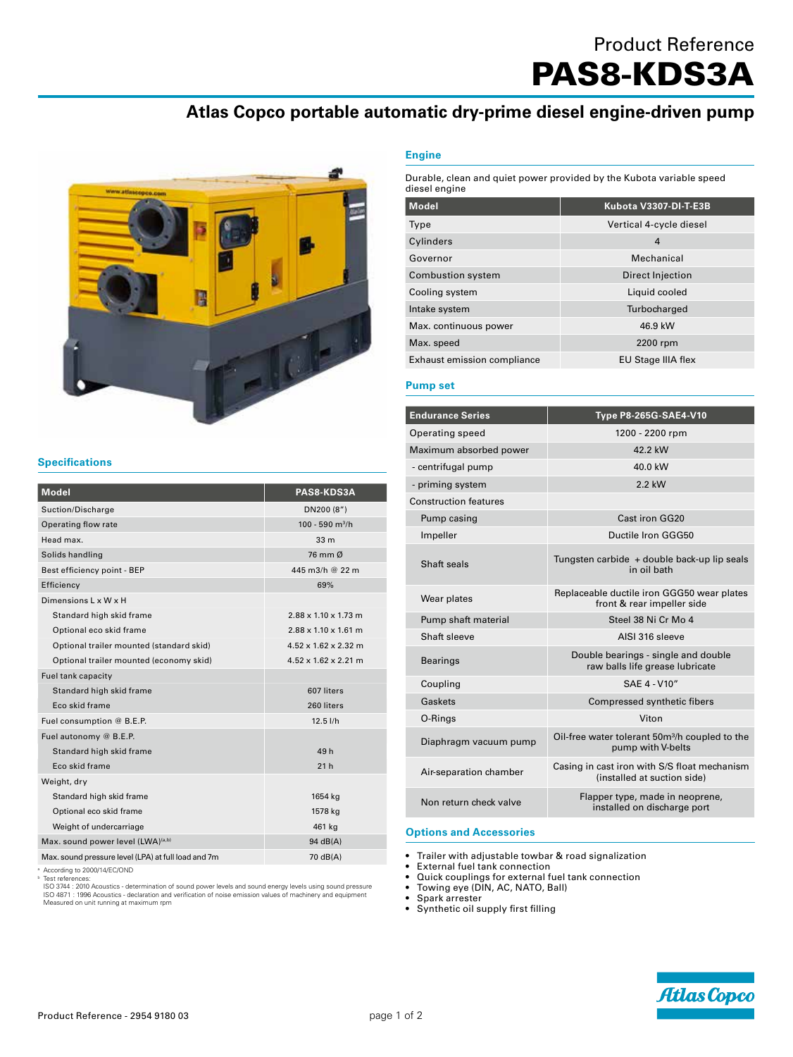# Product Reference

PAS8-KDS3A

# **Atlas Copco portable automatic dry-prime diesel engine-driven pump**



## **Engine**

Durable, clean and quiet power provided by the Kubota variable speed diesel engine

| <b>Model</b>                       | Kubota V3307-DI-T-E3B   |
|------------------------------------|-------------------------|
| Type                               | Vertical 4-cycle diesel |
| Cylinders                          | 4                       |
| Governor                           | Mechanical              |
| <b>Combustion system</b>           | Direct Injection        |
| Cooling system                     | Liquid cooled           |
| Intake system                      | Turbocharged            |
| Max. continuous power              | 46.9 kW                 |
| Max. speed                         | 2200 rpm                |
| <b>Exhaust emission compliance</b> | EU Stage IIIA flex      |

## **Pump set**

| <b>Endurance Series</b>      | Type P8-265G-SAE4-V10                                                           |
|------------------------------|---------------------------------------------------------------------------------|
| Operating speed              | 1200 - 2200 rpm                                                                 |
| Maximum absorbed power       | 42.2 kW                                                                         |
| - centrifugal pump           | 40.0 kW                                                                         |
| - priming system             | $2.2$ kW                                                                        |
| <b>Construction features</b> |                                                                                 |
| Pump casing                  | Cast iron GG20                                                                  |
| Impeller                     | Ductile Iron GGG50                                                              |
| Shaft seals                  | Tungsten carbide + double back-up lip seals<br>in oil bath                      |
| Wear plates                  | Replaceable ductile iron GGG50 wear plates<br>front & rear impeller side        |
| Pump shaft material          | Steel 38 Ni Cr Mo 4                                                             |
| Shaft sleeve                 | AISI 316 sleeve                                                                 |
| <b>Bearings</b>              | Double bearings - single and double<br>raw balls life grease lubricate          |
| Coupling                     | SAF 4 - V10"                                                                    |
| Gaskets                      | Compressed synthetic fibers                                                     |
| O-Rings                      | Viton                                                                           |
| Diaphragm vacuum pump        | Oil-free water tolerant 50m <sup>3</sup> /h coupled to the<br>pump with V-belts |
| Air-separation chamber       | Casing in cast iron with S/S float mechanism<br>(installed at suction side)     |
| Non return check valve       | Flapper type, made in neoprene,<br>installed on discharge port                  |
|                              |                                                                                 |

## **Options and Accessories**

• Trailer with adjustable towbar & road signalization

- External fuel tank connection<br>• Quick couplings for external f
- Quick couplings for external fuel tank connection<br>• Towing eve (DIN, AC, NATO, Ball)

• Towing eye (DIN, AC, NATO, Ball)

- Spark arrester
- Synthetic oil supply first filling

## **Specifications**

| <b>Model</b>                                        | PAS8-KDS3A                       |
|-----------------------------------------------------|----------------------------------|
| Suction/Discharge                                   | DN200 (8")                       |
| Operating flow rate                                 | 100 - 590 $m^3/h$                |
| Head max.                                           | 33 <sub>m</sub>                  |
| Solids handling                                     | 76 mm Ø                          |
| Best efficiency point - BEP                         | 445 m3/h @ 22 m                  |
| Efficiency                                          | 69%                              |
| Dimensions L x W x H                                |                                  |
| Standard high skid frame                            | $2.88 \times 1.10 \times 1.73$ m |
| Optional eco skid frame                             | $2.88 \times 1.10 \times 1.61$ m |
| Optional trailer mounted (standard skid)            | $4.52 \times 1.62 \times 2.32$ m |
| Optional trailer mounted (economy skid)             | $4.52 \times 1.62 \times 2.21$ m |
| Fuel tank capacity                                  |                                  |
| Standard high skid frame                            | 607 liters                       |
| Eco skid frame                                      | 260 liters                       |
| Fuel consumption @ B.E.P.                           | $12.5$ $I/h$                     |
| Fuel autonomy @ B.E.P.                              |                                  |
| Standard high skid frame                            | 49h                              |
| Eco skid frame                                      | 21h                              |
| Weight, dry                                         |                                  |
| Standard high skid frame                            | 1654 kg                          |
| Optional eco skid frame                             | 1578 kg                          |
| Weight of undercarriage                             | 461 kg                           |
| Max. sound power level (LWA)(a,b)                   | 94 dB(A)                         |
| Max. sound pressure level (LPA) at full load and 7m | 70 dB(A)                         |

° According to 2000/14/EC/OND<br><sup>8</sup> Test references:<br>ISO 3744 : 2010 Acoustics - determination of sound power levels and sound energy levels using sound pressure<br>ISO 3741 : 1996 Acoustics - declaration and verification of no